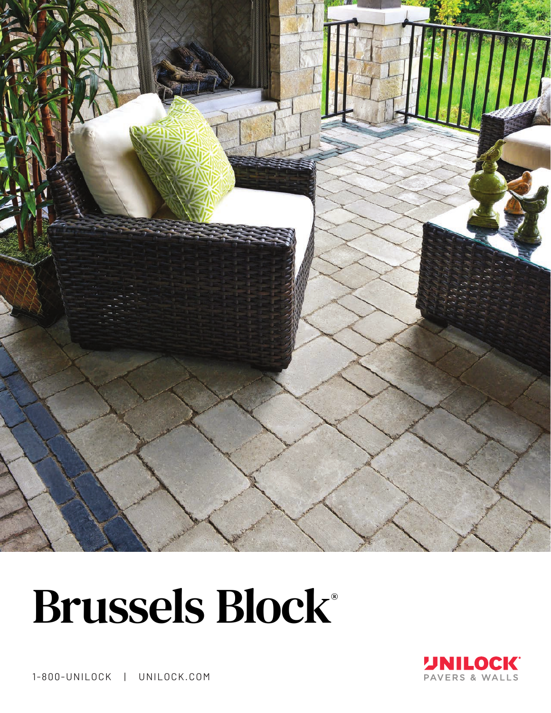

# Brussels Block®



1-800-UNILOCK | UNILOCK.COM